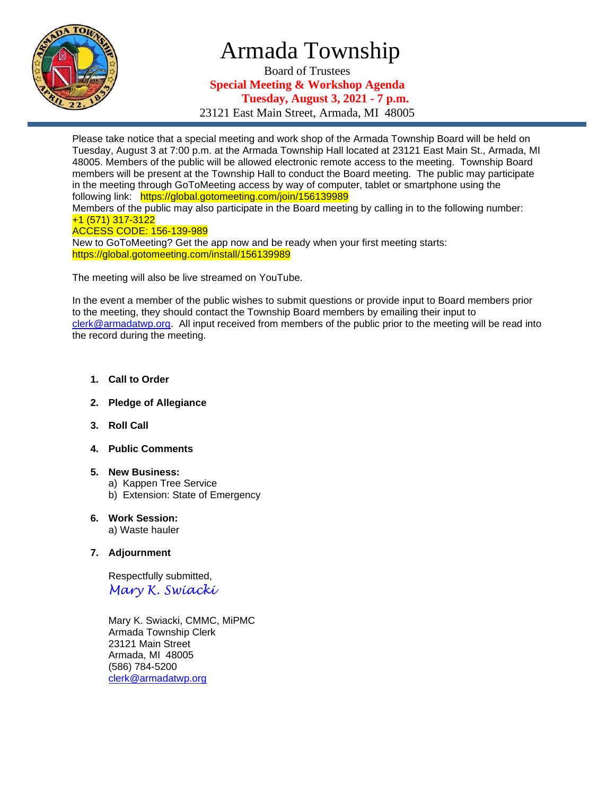

## Armada Township

Board of Trustees **Special Meeting & Workshop Agenda Tuesday, August 3, 2021 - 7 p.m.**

23121 East Main Street, Armada, MI 48005

Please take notice that a special meeting and work shop of the Armada Township Board will be held on Tuesday, August 3 at 7:00 p.m. at the Armada Township Hall located at 23121 East Main St., Armada, MI 48005. Members of the public will be allowed electronic remote access to the meeting. Township Board members will be present at the Township Hall to conduct the Board meeting. The public may participate in the meeting through GoToMeeting access by way of computer, tablet or smartphone using the following link: https://global.gotomeeting.com/join/156139989

Members of the public may also participate in the Board meeting by calling in to the following number: +1 (571) 317-3122

## ACCESS CODE: 156-139-989

New to GoToMeeting? Get the app now and be ready when your first meeting starts: https://global.gotomeeting.com/install/156139989

The meeting will also be live streamed on YouTube.

In the event a member of the public wishes to submit questions or provide input to Board members prior to the meeting, they should contact the Township Board members by emailing their input to [clerk@armadatwp.org.](mailto:clerk@armadatwp.org) All input received from members of the public prior to the meeting will be read into the record during the meeting.

- **1. Call to Order**
- **2. Pledge of Allegiance**
- **3. Roll Call**
- **4. Public Comments**

## **5. New Business:**

- a) Kappen Tree Service
- b) Extension: State of Emergency
- **6. Work Session:**  a) Waste hauler
- **7. Adjournment**

 Respectfully submitted, *Mary K. Swiacki*

 Mary K. Swiacki, CMMC, MiPMC Armada Township Clerk 23121 Main Street Armada, MI 48005 (586) 784-5200 [clerk@armadatwp.org](mailto:clerk@armadatwp.org)